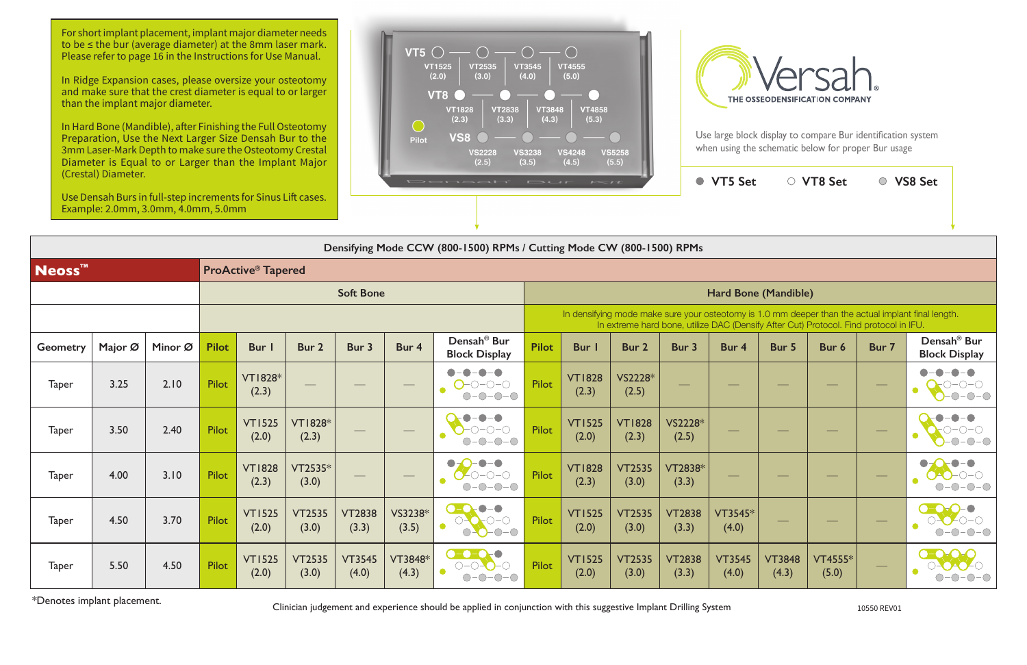Use large block display to compare Bur identification system when using the schematic below for proper Bur usage

|                             |                        |                        | <b>VT5 Set</b>                                                                                                                                                                              |                        | ○ VT8 Set        |       | <b>VS8 Set</b>                                  |  |  |  |  |  |
|-----------------------------|------------------------|------------------------|---------------------------------------------------------------------------------------------------------------------------------------------------------------------------------------------|------------------------|------------------|-------|-------------------------------------------------|--|--|--|--|--|
|                             |                        |                        |                                                                                                                                                                                             |                        |                  |       |                                                 |  |  |  |  |  |
| Mode CW (800-1500) RPMs     |                        |                        |                                                                                                                                                                                             |                        |                  |       |                                                 |  |  |  |  |  |
|                             |                        |                        |                                                                                                                                                                                             |                        |                  |       |                                                 |  |  |  |  |  |
| <b>Hard Bone (Mandible)</b> |                        |                        |                                                                                                                                                                                             |                        |                  |       |                                                 |  |  |  |  |  |
|                             |                        |                        | In densifying mode make sure your osteotomy is 1.0 mm deeper than the actual implant final length.<br>In extreme hard bone, utilize DAC (Densify After Cut) Protocol. Find protocol in IFU. |                        |                  |       |                                                 |  |  |  |  |  |
| <b>Bur</b> I                | Bur <sub>2</sub>       | Bur 3                  | Bur 4                                                                                                                                                                                       | Bur 5                  | Bur 6            | Bur 7 | Densah <sup>®</sup> Bur<br><b>Block Display</b> |  |  |  |  |  |
| <b>VT1828</b><br>(2.3)      | VS2228*<br>(2.5)       |                        |                                                                                                                                                                                             |                        |                  |       |                                                 |  |  |  |  |  |
| <b>VT1525</b><br>(2.0)      | <b>VT1828</b><br>(2.3) | VS2228*<br>(2.5)       |                                                                                                                                                                                             |                        |                  |       |                                                 |  |  |  |  |  |
| <b>VT1828</b><br>(2.3)      | <b>VT2535</b><br>(3.0) | VT2838*<br>(3.3)       |                                                                                                                                                                                             |                        |                  |       |                                                 |  |  |  |  |  |
| <b>VT1525</b><br>(2.0)      | <b>VT2535</b><br>(3.0) | <b>VT2838</b><br>(3.3) | VT3545*<br>(4.0)                                                                                                                                                                            |                        |                  |       |                                                 |  |  |  |  |  |
| <b>VT1525</b><br>(2.0)      | <b>VT2535</b><br>(3.0) | <b>VT2838</b><br>(3.3) | <b>VT3545</b><br>(4.0)                                                                                                                                                                      | <b>VT3848</b><br>(4.3) | VT4555*<br>(5.0) |       |                                                 |  |  |  |  |  |

**Densifying Mode CCW (800-1500) RPMs / Cutting Mode CW (800-1500) RPMs**

For short implant placement, implant major diameter needs to be ≤ the bur (average diameter) at the 8mm laser mark. Please refer to page 16 in the Instructions for Use Manual.

| Neoss <sup>™</sup> |         | <b>ProActive<sup>®</sup> Tapered</b> |                  |                         |                         |                                 |                   |                                                                                                                                                                                             |              |                        |                        |                        |                        |                        |                         |                                       |                                                 |
|--------------------|---------|--------------------------------------|------------------|-------------------------|-------------------------|---------------------------------|-------------------|---------------------------------------------------------------------------------------------------------------------------------------------------------------------------------------------|--------------|------------------------|------------------------|------------------------|------------------------|------------------------|-------------------------|---------------------------------------|-------------------------------------------------|
|                    |         |                                      | <b>Soft Bone</b> |                         |                         |                                 |                   | Hard Bone (Mandible)                                                                                                                                                                        |              |                        |                        |                        |                        |                        |                         |                                       |                                                 |
|                    |         |                                      |                  |                         |                         |                                 |                   | In densifying mode make sure your osteotomy is 1.0 mm deeper than the actual implant final length.<br>In extreme hard bone, utilize DAC (Densify After Cut) Protocol. Find protocol in IFU. |              |                        |                        |                        |                        |                        |                         |                                       |                                                 |
| Geometry           | Major Ø | Minor Ø                              | <b>Pilot</b>     | Bur I                   | Bur 2                   | Bur 3                           | Bur 4             | Densah <sup>®</sup> Bur<br><b>Block Display</b>                                                                                                                                             | <b>Pilot</b> | <b>Bur</b> I           | Bur 2                  | Bur 3                  | Bur 4                  | Bur 5                  | Bur 6                   | Bur 7                                 | Densah <sup>®</sup> Bur<br><b>Block Display</b> |
| <b>Taper</b>       | 3.25    | 2.10                                 | Pilot            | <b>VT1828*</b><br>(2.3) | $\qquad \qquad -$       | $\hspace{0.05cm}$               | $\hspace{0.05cm}$ | $\bigcap - \bigcap - \bigcap$<br>$\mathbf{r}$                                                                                                                                               | <b>Pilot</b> | <b>VT1828</b><br>(2.3) | VS2228*<br>(2.5)       |                        |                        |                        | $\frac{1}{2}$           |                                       |                                                 |
| <b>Taper</b>       | 3.50    | 2.40                                 | <b>Pilot</b>     | <b>VT1525</b><br>(2.0)  | <b>VT1828*</b><br>(2.3) | $\hspace{0.1cm}-\hspace{0.1cm}$ | $\hspace{0.05cm}$ |                                                                                                                                                                                             | <b>Pilot</b> | <b>VT1525</b><br>(2.0) | <b>VT1828</b><br>(2.3) | VS2228*<br>(2.5)       |                        |                        | $\frac{1}{2}$           |                                       |                                                 |
| <b>Taper</b>       | 4.00    | 3.10                                 | <b>Pilot</b>     | <b>VT1828</b><br>(2.3)  | $VT2535*$<br>(3.0)      | $\hspace{0.1mm}-\hspace{0.1mm}$ | $\hspace{0.05cm}$ | $\bullet$<br>$\bullet$                                                                                                                                                                      | <b>Pilot</b> | <b>VT1828</b><br>(2.3) | <b>VT2535</b><br>(3.0) | VT2838*<br>(3.3)       |                        |                        |                         |                                       |                                                 |
| <b>Taper</b>       | 4.50    | 3.70                                 | Pilot            | <b>VT1525</b><br>(2.0)  | <b>VT2535</b><br>(3.0)  | <b>VT2838</b><br>(3.3)          | VS3238*<br>(3.5)  | $\bullet$                                                                                                                                                                                   | <b>Pilot</b> | <b>VT1525</b><br>(2.0) | <b>VT2535</b><br>(3.0) | <b>VT2838</b><br>(3.3) | VT3545*<br>(4.0)       |                        | $\frac{1}{2}$           |                                       |                                                 |
| <b>Taper</b>       | 5.50    | 4.50                                 | <b>Pilot</b>     | <b>VT1525</b><br>(2.0)  | <b>VT2535</b><br>(3.0)  | <b>VT3545</b><br>(4.0)          | VT3848*<br>(4.3)  | $\bullet$ - $\bullet$ - $\bullet$<br>$\bigcirc$ - $\bigcirc$ - $\bigcirc$ - $\bigcirc$<br>$\bullet$                                                                                         | <b>Pilot</b> | <b>VT1525</b><br>(2.0) | <b>VT2535</b><br>(3.0) | <b>VT2838</b><br>(3.3) | <b>VT3545</b><br>(4.0) | <b>VT3848</b><br>(4.3) | <b>VT4555*</b><br>(5.0) | $\hspace{1.0cm} \rule{1.5cm}{0.15cm}$ | $-C$                                            |

\*Denotes implant placement. Clinician judgement and experience should be applied in conjunction with this suggestive Implant Drilling System 10550 REV01

In Ridge Expansion cases, please oversize your osteotomy and make sure that the crest diameter is equal to or larger than the implant major diameter.

In Hard Bone (Mandible), after Finishing the Full Osteotomy Preparation, Use the Next Larger Size Densah Bur to the 3mm Laser-Mark Depth to make sure the Osteotomy Crestal Diameter is Equal to or Larger than the Implant Major (Crestal) Diameter.

Use Densah Burs in full-step increments for Sinus Lift cases. Example: 2.0mm, 3.0mm, 4.0mm, 5.0mm